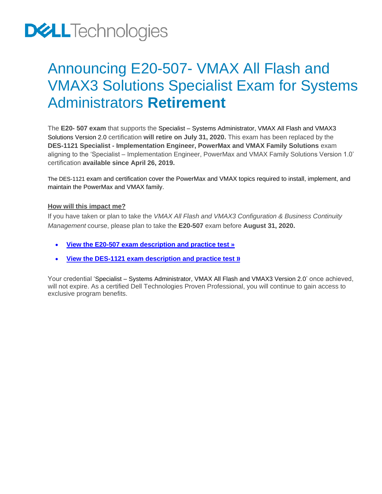# **DELLTechnologies**

# Announcing E20-507- VMAX All Flash and VMAX3 Solutions Specialist Exam for Systems Administrators **Retirement**

The **E20- 507 exam** that supports the Specialist – Systems Administrator, VMAX All Flash and VMAX3 Solutions Version 2.0 certification **will retire on July 31, 2020.** This exam has been replaced by the **DES-1121 Specialist - Implementation Engineer, PowerMax and VMAX Family Solutions** exam aligning to the 'Specialist – Implementation Engineer, PowerMax and VMAX Family Solutions Version 1.0' certification **available since April 26, 2019.**

The DES-1121 exam and certification cover the PowerMax and VMAX topics required to install, implement, and maintain the PowerMax and VMAX family.

### **How will this impact me?**

If you have taken or plan to take the *VMAX All Flash and VMAX3 Configuration & Business Continuity Management* course, please plan to take the **E20-507** exam before **August 31, 2020.** 

- **[View the E20-507 exam description and practice test »](#page-1-0)**
- **[View the DES-1121 exam description and practice test](https://education.dellemc.com/content/dam/dell-emc/documents/en-us/DES-1121_Specialist-Implementation_Engineer_PowerMax_Exam.pdf) »**

Your credential 'Specialist – Systems Administrator, VMAX All Flash and VMAX3 Version 2.0' once achieved, will not expire. As a certified Dell Technologies Proven Professional, you will continue to gain access to exclusive program benefits.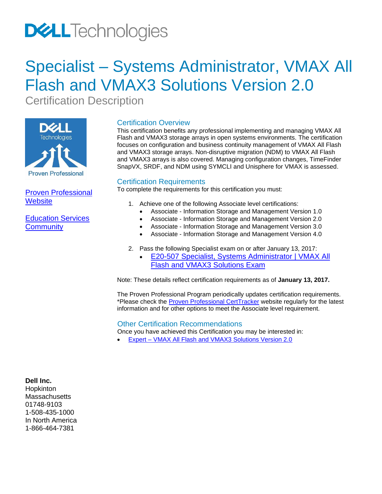# **DELL**Technologies

# <span id="page-1-0"></span>Specialist – Systems Administrator, VMAX All Flash and VMAX3 Solutions Version 2.0

Certification Description



# [Proven Professional](https://education.emc.com/guest/certification/default.aspx)  **[Website](https://education.emc.com/guest/certification/default.aspx)**

[Education Services](https://www.dell.com/community/Education-Services/bd-p/education-services)  **[Community](https://www.dell.com/community/Education-Services/bd-p/education-services)** 

# Certification Overview

This certification benefits any professional implementing and managing VMAX All Flash and VMAX3 storage arrays in open systems environments. The certification focuses on configuration and business continuity management of VMAX All Flash and VMAX3 storage arrays. Non-disruptive migration (NDM) to VMAX All Flash and VMAX3 arrays is also covered. Managing configuration changes, TimeFinder SnapVX, SRDF, and NDM using SYMCLI and Unisphere for VMAX is assessed.

## Certification Requirements

To complete the requirements for this certification you must:

- 1. Achieve one of the following Associate level certifications:
	- Associate Information Storage and Management Version 1.0
	- Associate Information Storage and Management Version 2.0
	- Associate Information Storage and Management Version 3.0
	- Associate Information Storage and Management Version 4.0
- 2. Pass the following Specialist exam on or after January 13, 2017:
	- E20-507 Specialist, Systems Administrator | VMAX All Flash and VMAX3 Solutions Exam

Note: These details reflect certification requirements as of **January 13, 2017.**

The Proven Professional Program periodically updates certification requirements. \*Please check the [Proven Professional CertTracker](https://www.certmetrics.com/emc/login.aspx?ReturnUrl=%2femc%2f) website regularly for the latest information and for other options to meet the Associate level requirement.

#### Other Certification Recommendations

Once you have achieved this Certification you may be interested in:

• Expert – [VMAX All Flash and VMAX3 Solutions Version 2.0](http://education.emc.com/content/dam/dell-emc/documents/en-us/E20_807_VMAX3_Solutions_Expert_Exam.pdf)

# **Dell Inc.**

**Hopkinton Massachusetts** 01748-9103 1-508-435-1000 In North America 1-866-464-7381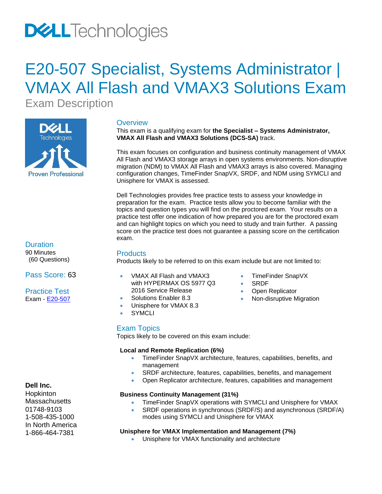# **DELL**Technologies

# E20-507 Specialist, Systems Administrator | VMAX All Flash and VMAX3 Solutions Exam

Exam Description



#### **Duration** 90 Minutes (60 Questions)

Pass Score: 63

### Practice Test Exam - [E20-507](https://secure.testcraft.com/emc/assess.aspx?aid=MR-1DP-507-2016Q4&apass=VAF3SSSA)

## **Overview**

This exam is a qualifying exam for **the Specialist – Systems Administrator, VMAX All Flash and VMAX3 Solutions (DCS-SA)** track.

This exam focuses on configuration and business continuity management of VMAX All Flash and VMAX3 storage arrays in open systems environments. Non-disruptive migration (NDM) to VMAX All Flash and VMAX3 arrays is also covered. Managing configuration changes, TimeFinder SnapVX, SRDF, and NDM using SYMCLI and Unisphere for VMAX is assessed.

Dell Technologies provides free practice tests to assess your knowledge in preparation for the exam. Practice tests allow you to become familiar with the topics and question types you will find on the proctored exam. Your results on a practice test offer one indication of how prepared you are for the proctored exam and can highlight topics on which you need to study and train further. A passing score on the practice test does not guarantee a passing score on the certification exam.

## **Products**

Products likely to be referred to on this exam include but are not limited to:

• TimeFinder SnapVX

• Non-disruptive Migration

• Open Replicator

• SRDF

- VMAX All Flash and VMAX3 with HYPERMAX OS 5977 Q3 2016 Service Release
- Solutions Enabler 8.3
- Unisphere for VMAX 8.3
- **SYMCLI**

# Exam Topics

Topics likely to be covered on this exam include:

#### **Local and Remote Replication (6%)**

- TimeFinder SnapVX architecture, features, capabilities, benefits, and management
- SRDF architecture, features, capabilities, benefits, and management
- Open Replicator architecture, features, capabilities and management

#### **Business Continuity Management (31%)**

- TimeFinder SnapVX operations with SYMCLI and Unisphere for VMAX
- SRDF operations in synchronous (SRDF/S) and asynchronous (SRDF/A) modes using SYMCLI and Unisphere for VMAX

# **Unisphere for VMAX Implementation and Management (7%)**

• Unisphere for VMAX functionality and architecture

## **Dell Inc.**

**Hopkinton** Massachusetts 01748-9103 1-508-435-1000 In North America 1-866-464-7381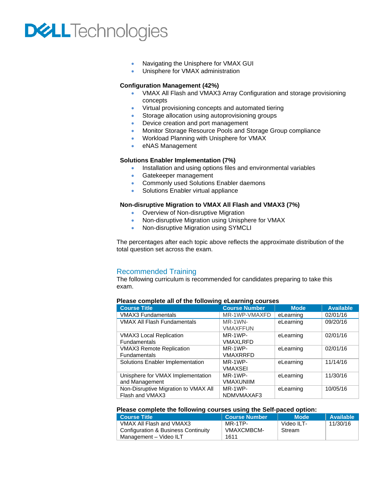

- Navigating the Unisphere for VMAX GUI
- Unisphere for VMAX administration

#### **Configuration Management (42%)**

- VMAX All Flash and VMAX3 Array Configuration and storage provisioning concepts
- Virtual provisioning concepts and automated tiering
- Storage allocation using autoprovisioning groups
- Device creation and port management
- Monitor Storage Resource Pools and Storage Group compliance
- Workload Planning with Unisphere for VMAX
- eNAS Management

#### **Solutions Enabler Implementation (7%)**

- Installation and using options files and environmental variables
- Gatekeeper management
- Commonly used Solutions Enabler daemons
- Solutions Enabler virtual appliance

#### **Non-disruptive Migration to VMAX All Flash and VMAX3 (7%)**

- Overview of Non-disruptive Migration
- Non-disruptive Migration using Unisphere for VMAX
- Non-disruptive Migration using SYMCLI

The percentages after each topic above reflects the approximate distribution of the total question set across the exam.

#### Recommended Training

The following curriculum is recommended for candidates preparing to take this exam.

#### **Please complete all of the following eLearning courses**

| <b>Course Title</b>                                     | <b>Course Number</b>         | <b>Mode</b> | <b>Available</b> |
|---------------------------------------------------------|------------------------------|-------------|------------------|
| <b>VMAX3 Fundamentals</b>                               | MR-1WP-VMAXFD                | eLearning   | 02/01/16         |
| <b>VMAX All Flash Fundamentals</b>                      | $MR-1WN-$<br><b>VMAXFFUN</b> | eLearning   | 09/20/16         |
| <b>VMAX3 Local Replication</b><br><b>Fundamentals</b>   | MR-1WP-<br>VMAXLRFD          | eLearning   | 02/01/16         |
| <b>VMAX3 Remote Replication</b><br><b>Fundamentals</b>  | MR-1WP-<br>VMAXRRFD          | eLearning   | 02/01/16         |
| Solutions Enabler Implementation                        | $MR-1WP-$<br><b>VMAXSEI</b>  | eLearning   | 11/14/16         |
| Unisphere for VMAX Implementation<br>and Management     | $MR-1WP-$<br>VMAXUNIIM       | eLearning   | 11/30/16         |
| Non-Disruptive Migration to VMAX All<br>Flash and VMAX3 | MR-1WP-<br>NDMVMAXAF3        | eLearning   | 10/05/16         |

#### **Please complete the following courses using the Self-paced option:**

| <b>Course Title</b>                 | <b>Course Number</b> | <b>Mode</b> | <b>Available</b> |
|-------------------------------------|----------------------|-------------|------------------|
| VMAX All Flash and VMAX3            | MR-1TP-              | Video ILT-  | 11/30/16         |
| Configuration & Business Continuity | <b>VMAXCMBCM-</b>    | Stream      |                  |
| Management - Video ILT              | 1611                 |             |                  |